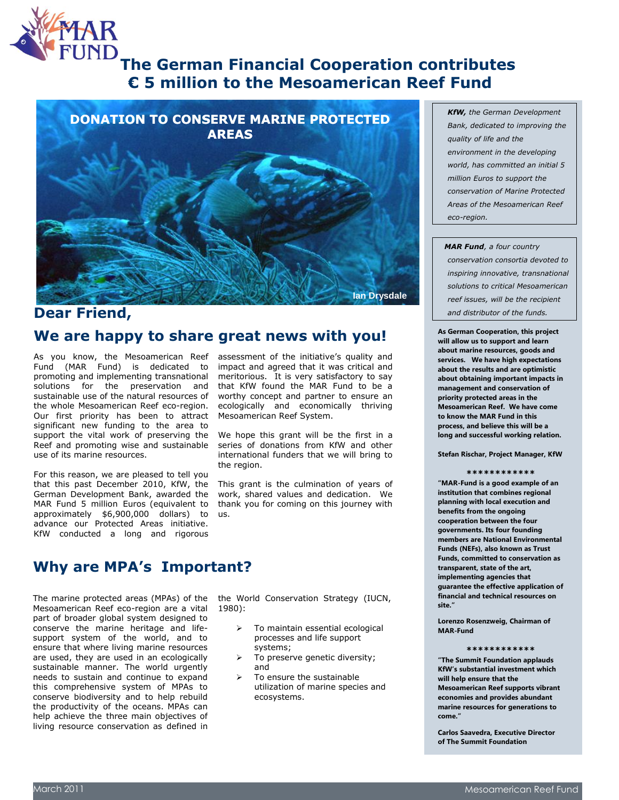

# **The German Financial Cooperation contributes € 5 million to the Mesoamerican Reef Fund**



### **Dear Friend,**

### **We are happy to share great news with you!**

As you know, the Mesoamerican Reef Fund (MAR Fund) is dedicated to promoting and implementing transnational solutions for the preservation and sustainable use of the natural resources of the whole Mesoamerican Reef eco-region. Our first priority has been to attract significant new funding to the area to support the vital work of preserving the Reef and promoting wise and sustainable use of its marine resources.

For this reason, we are pleased to tell you that this past December 2010, KfW, the German Development Bank, awarded the MAR Fund 5 million Euros (equivalent to approximately \$6,900,000 dollars) to advance our Protected Areas initiative. KfW conducted a long and rigorous

assessment of the initiative's quality and impact and agreed that it was critical and meritorious. It is very satisfactory to say that KfW found the MAR Fund to be a worthy concept and partner to ensure an ecologically and economically thriving Mesoamerican Reef System.

We hope this grant will be the first in a series of donations from KfW and other international funders that we will bring to the region.

This grant is the culmination of years of work, shared values and dedication. We thank you for coming on this journey with us.

## **Why are MPA's Important?**

The marine protected areas (MPAs) of the Mesoamerican Reef eco-region are a vital part of broader global system designed to conserve the marine heritage and lifesupport system of the world, and to ensure that where living marine resources are used, they are used in an ecologically sustainable manner. The world urgently needs to sustain and continue to expand this comprehensive system of MPAs to conserve biodiversity and to help rebuild the productivity of the oceans. MPAs can help achieve the three main objectives of living resource conservation as defined in

the World Conservation Strategy (IUCN, 1980):

- To maintain essential ecological processes and life support systems;
- To preserve genetic diversity; and
- To ensure the sustainable utilization of marine species and ecosystems.

 *KfW, the German Development Bank, dedicated to improving the quality of life and the environment in the developing world, has committed an initial 5 million Euros to support the conservation of Marine Protected Areas of the Mesoamerican Reef eco-region.*

 *MAR Fund, a four country conservation consortia devoted to inspiring innovative, transnational solutions to critical Mesoamerican reef issues, will be the recipient and distributor of the funds.*

**As German Cooperation, this project will allow us to support and learn about marine resources, goods and services. We have high expectations about the results and are optimistic about obtaining important impacts in management and conservation of priority protected areas in the Mesoamerican Reef. We have come to know the MAR Fund in this process, and believe this will be a long and successful working relation.**

**Stefan Rischar, Project Manager, KfW**

#### **\*\*\*\*\*\*\*\*\*\*\*\***

**"MAR-Fund is a good example of an institution that combines regional planning with local execution and benefits from the ongoing cooperation between the four governments. Its four founding members are National Environmental Funds (NEFs), also known as Trust Funds, committed to conservation as transparent, state of the art, implementing agencies that guarantee the effective application of financial and technical resources on site."**

**Lorenzo Rosenzweig, Chairman of MAR-Fund**

#### **\*\*\*\*\*\*\*\*\*\*\*\***

**"The Summit Foundation applauds KfW's substantial investment which will help ensure that the Mesoamerican Reef supports vibrant economies and provides abundant marine resources for generations to come."**

**Carlos Saavedra, Executive Director of The Summit Foundation**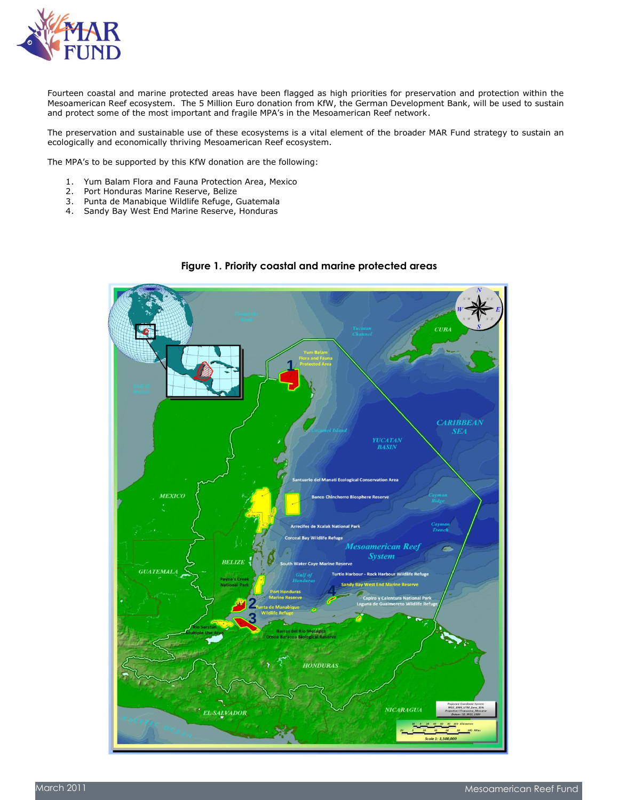

Fourteen coastal and marine protected areas have been flagged as high priorities for preservation and protection within the Mesoamerican Reef ecosystem. The 5 Million Euro donation from KfW, the German Development Bank, will be used to sustain and protect some of the most important and fragile MPA's in the Mesoamerican Reef network.

The preservation and sustainable use of these ecosystems is a vital element of the broader MAR Fund strategy to sustain an ecologically and economically thriving Mesoamerican Reef ecosystem.

The MPA's to be supported by this KfW donation are the following:

- 1. Yum Balam Flora and Fauna Protection Area, Mexico
- 2. Port Honduras Marine Reserve, Belize
- 3. Punta de Manabique Wildlife Refuge, Guatemala
- 4. Sandy Bay West End Marine Reserve, Honduras



### **Figure 1. Priority coastal and marine protected areas**